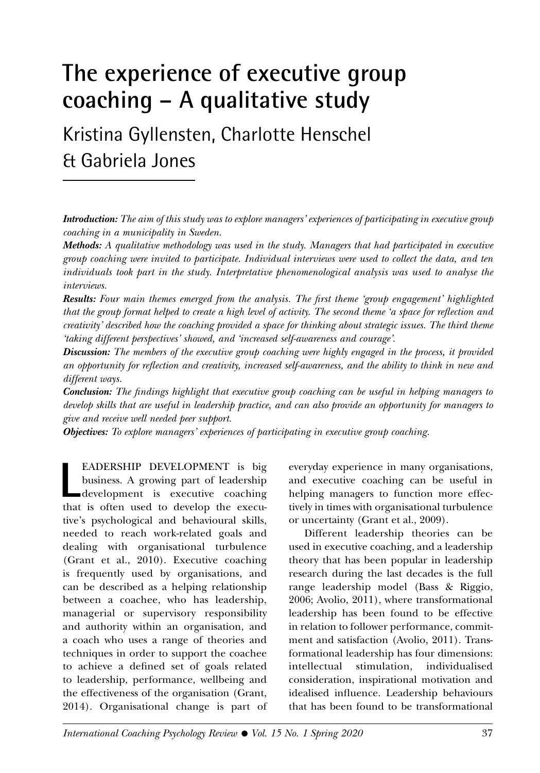# **The experience of executive group coaching – A qualitative study**

Kristina Gyllensten, Charlotte Henschel & Gabriela Jones

*Introduction: The aim of this study was to explore managers' experiences of participating in executive group coaching in a municipality in Sweden.*

*Methods: A qualitative methodology was used in the study. Managers that had participated in executive group coaching were invited to participate. Individual interviews were used to collect the data, and ten individuals took part in the study. Interpretative phenomenological analysis was used to analyse the interviews.*

*Results: Four main themes emerged from the analysis. The first theme 'group engagement' highlighted that the group format helped to create a high level of activity. The second theme 'a space for reflection and creativity' described how the coaching provided a space for thinking about strategic issues. The third theme 'taking different perspectives' showed, and 'increased self-awareness and courage'.*

*Discussion: The members of the executive group coaching were highly engaged in the process, it provided an opportunity for reflection and creativity, increased self-awareness, and the ability to think in new and different ways.*

*Conclusion: The findings highlight that executive group coaching can be useful in helping managers to develop skills that are useful in leadership practice, and can also provide an opportunity for managers to give and receive well needed peer support.*

*Objectives: To explore managers' experiences of participating in executive group coaching.*

**L**<br>that EADERSHIP DEVELOPMENT is big business. A growing part of leadership development is executive coaching that is often used to develop the executive's psychological and behavioural skills, needed to reach work-related goals and dealing with organisational turbulence (Grant et al., 2010). Executive coaching is frequently used by organisations, and can be described as a helping relationship between a coachee, who has leadership, managerial or supervisory responsibility and authority within an organisation, and a coach who uses a range of theories and techniques in order to support the coachee to achieve a defined set of goals related to leadership, performance, wellbeing and the effectiveness of the organisation (Grant, 2014). Organisational change is part of

everyday experience in many organisations, and executive coaching can be useful in helping managers to function more effectively in times with organisational turbulence or uncertainty (Grant et al., 2009).

Different leadership theories can be used in executive coaching, and a leadership theory that has been popular in leadership research during the last decades is the full range leadership model (Bass & Riggio, 2006; Avolio, 2011), where transformational leadership has been found to be effective in relation to follower performance, commitment and satisfaction (Avolio, 2011). Transformational leadership has four dimensions: intellectual stimulation, individualised consideration, inspirational motivation and idealised influence. Leadership behaviours that has been found to be transformational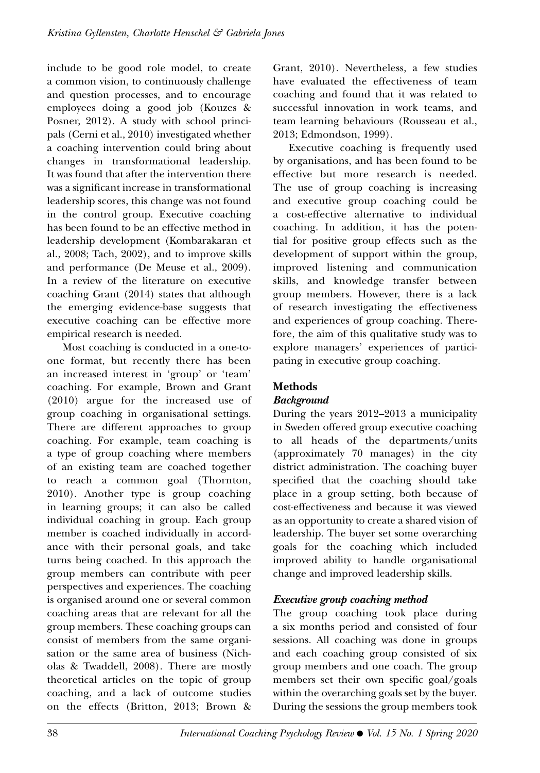include to be good role model, to create a common vision, to continuously challenge and question processes, and to encourage employees doing a good job (Kouzes & Posner, 2012). A study with school principals (Cerni et al., 2010) investigated whether a coaching intervention could bring about changes in transformational leadership. It was found that after the intervention there was a significant increase in transformational leadership scores, this change was not found in the control group. Executive coaching has been found to be an effective method in leadership development (Kombarakaran et al., 2008; Tach, 2002), and to improve skills and performance (De Meuse et al., 2009). In a review of the literature on executive coaching Grant (2014) states that although the emerging evidence-base suggests that executive coaching can be effective more empirical research is needed.

Most coaching is conducted in a one-toone format, but recently there has been an increased interest in 'group' or 'team' coaching. For example, Brown and Grant (2010) argue for the increased use of group coaching in organisational settings. There are different approaches to group coaching. For example, team coaching is a type of group coaching where members of an existing team are coached together to reach a common goal (Thornton, 2010). Another type is group coaching in learning groups; it can also be called individual coaching in group. Each group member is coached individually in accordance with their personal goals, and take turns being coached. In this approach the group members can contribute with peer perspectives and experiences. The coaching is organised around one or several common coaching areas that are relevant for all the group members. These coaching groups can consist of members from the same organisation or the same area of business (Nicholas & Twaddell, 2008). There are mostly theoretical articles on the topic of group coaching, and a lack of outcome studies on the effects (Britton, 2013; Brown &

Grant, 2010). Nevertheless, a few studies have evaluated the effectiveness of team coaching and found that it was related to successful innovation in work teams, and team learning behaviours (Rousseau et al., 2013; Edmondson, 1999).

Executive coaching is frequently used by organisations, and has been found to be effective but more research is needed. The use of group coaching is increasing and executive group coaching could be a cost-effective alternative to individual coaching. In addition, it has the potential for positive group effects such as the development of support within the group, improved listening and communication skills, and knowledge transfer between group members. However, there is a lack of research investigating the effectiveness and experiences of group coaching. Therefore, the aim of this qualitative study was to explore managers' experiences of participating in executive group coaching.

## **Methods**

### *Background*

During the years 2012–2013 a municipality in Sweden offered group executive coaching to all heads of the departments/units (approximately 70 manages) in the city district administration. The coaching buyer specified that the coaching should take place in a group setting, both because of cost-effectiveness and because it was viewed as an opportunity to create a shared vision of leadership. The buyer set some overarching goals for the coaching which included improved ability to handle organisational change and improved leadership skills.

### *Executive group coaching method*

The group coaching took place during a six months period and consisted of four sessions. All coaching was done in groups and each coaching group consisted of six group members and one coach. The group members set their own specific goal/goals within the overarching goals set by the buyer. During the sessions the group members took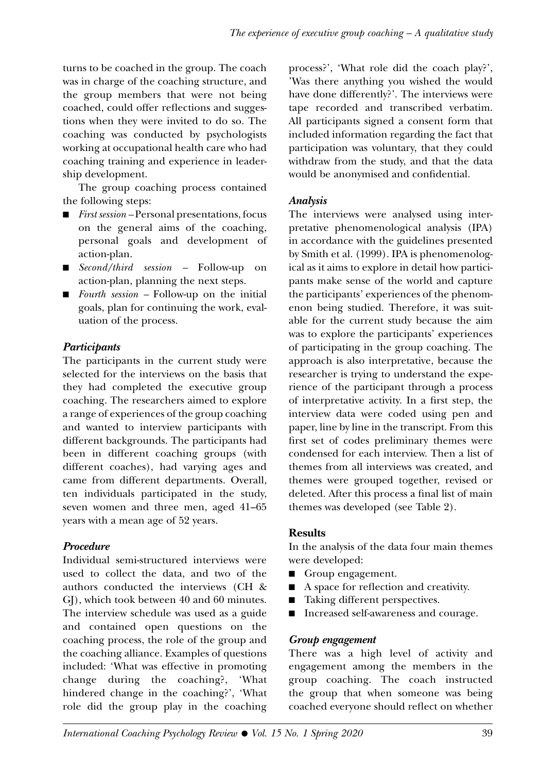turns to be coached in the group. The coach was in charge of the coaching structure, and the group members that were not being coached, could offer reflections and suggestions when they were invited to do so. The coaching was conducted by psychologists working at occupational health care who had coaching training and experience in leadership development.

The group coaching process contained the following steps:

- *First session* Personal presentations, focus on the general aims of the coaching, personal goals and development of action-plan.
- *Second/third session* Follow-up on action-plan, planning the next steps.
- *Fourth session* Follow-up on the initial goals, plan for continuing the work, evaluation of the process.

### *Participants*

The participants in the current study were selected for the interviews on the basis that they had completed the executive group coaching. The researchers aimed to explore a range of experiences of the group coaching and wanted to interview participants with different backgrounds. The participants had been in different coaching groups (with different coaches), had varying ages and came from different departments. Overall, ten individuals participated in the study, seven women and three men, aged 41–65 years with a mean age of 52 years.

### *Procedure*

Individual semi-structured interviews were used to collect the data, and two of the authors conducted the interviews (CH & GJ), which took between 40 and 60 minutes. The interview schedule was used as a guide and contained open questions on the coaching process, the role of the group and the coaching alliance. Examples of questions included: 'What was effective in promoting change during the coaching?, 'What hindered change in the coaching?', 'What role did the group play in the coaching

process?', 'What role did the coach play?', 'Was there anything you wished the would have done differently?'. The interviews were tape recorded and transcribed verbatim. All participants signed a consent form that included information regarding the fact that participation was voluntary, that they could withdraw from the study, and that the data would be anonymised and confidential.

### *Analysis*

The interviews were analysed using interpretative phenomenological analysis (IPA) in accordance with the guidelines presented by Smith et al. (1999). IPA is phenomenological as it aims to explore in detail how participants make sense of the world and capture the participants' experiences of the phenomenon being studied. Therefore, it was suitable for the current study because the aim was to explore the participants' experiences of participating in the group coaching. The approach is also interpretative, because the researcher is trying to understand the experience of the participant through a process of interpretative activity. In a first step, the interview data were coded using pen and paper, line by line in the transcript. From this first set of codes preliminary themes were condensed for each interview. Then a list of themes from all interviews was created, and themes were grouped together, revised or deleted. After this process a final list of main themes was developed (see Table 2).

### **Results**

In the analysis of the data four main themes were developed:

- Group engagement.
- A space for reflection and creativity.
- Taking different perspectives.
- Increased self-awareness and courage.

### *Group engagement*

There was a high level of activity and engagement among the members in the group coaching. The coach instructed the group that when someone was being coached everyone should reflect on whether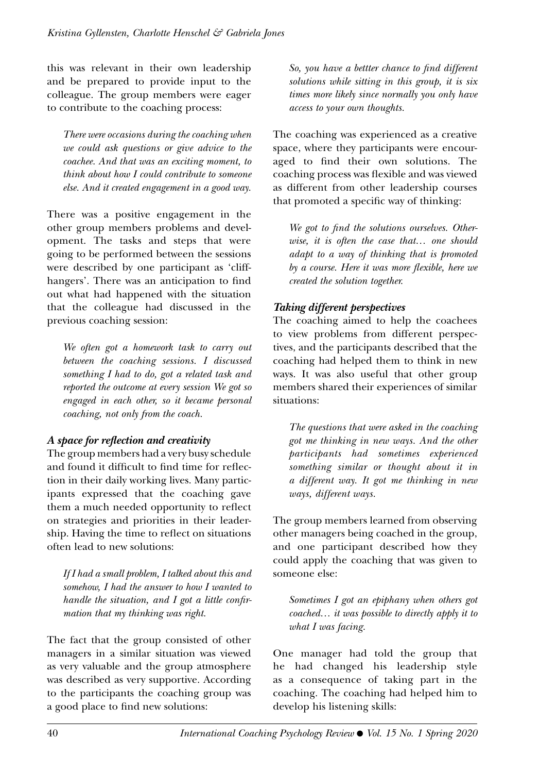this was relevant in their own leadership and be prepared to provide input to the colleague. The group members were eager to contribute to the coaching process:

*There were occasions during the coaching when we could ask questions or give advice to the coachee. And that was an exciting moment, to think about how I could contribute to someone else. And it created engagement in a good way.* 

There was a positive engagement in the other group members problems and development. The tasks and steps that were going to be performed between the sessions were described by one participant as 'cliffhangers'. There was an anticipation to find out what had happened with the situation that the colleague had discussed in the previous coaching session:

*We often got a homework task to carry out between the coaching sessions. I discussed something I had to do, got a related task and reported the outcome at every session We got so engaged in each other, so it became personal coaching, not only from the coach.*

#### *A space for reflection and creativity*

The group members had a very busy schedule and found it difficult to find time for reflection in their daily working lives. Many participants expressed that the coaching gave them a much needed opportunity to reflect on strategies and priorities in their leadership. Having the time to reflect on situations often lead to new solutions:

*If I had a small problem, I talked about this and somehow, I had the answer to how I wanted to handle the situation, and I got a little confirmation that my thinking was right.*

The fact that the group consisted of other managers in a similar situation was viewed as very valuable and the group atmosphere was described as very supportive. According to the participants the coaching group was a good place to find new solutions:

*So, you have a bettter chance to find different solutions while sitting in this group, it is six times more likely since normally you only have access to your own thoughts.* 

The coaching was experienced as a creative space, where they participants were encouraged to find their own solutions. The coaching process was flexible and was viewed as different from other leadership courses that promoted a specific way of thinking:

*We got to find the solutions ourselves. Otherwise, it is often the case that… one should adapt to a way of thinking that is promoted by a course. Here it was more flexible, here we created the solution together.* 

#### *Taking different perspectives*

The coaching aimed to help the coachees to view problems from different perspectives, and the participants described that the coaching had helped them to think in new ways. It was also useful that other group members shared their experiences of similar situations:

*The questions that were asked in the coaching got me thinking in new ways. And the other participants had sometimes experienced something similar or thought about it in a different way. It got me thinking in new ways, different ways.*

The group members learned from observing other managers being coached in the group, and one participant described how they could apply the coaching that was given to someone else:

*Sometimes I got an epiphany when others got coached… it was possible to directly apply it to what I was facing.* 

One manager had told the group that he had changed his leadership style as a consequence of taking part in the coaching. The coaching had helped him to develop his listening skills: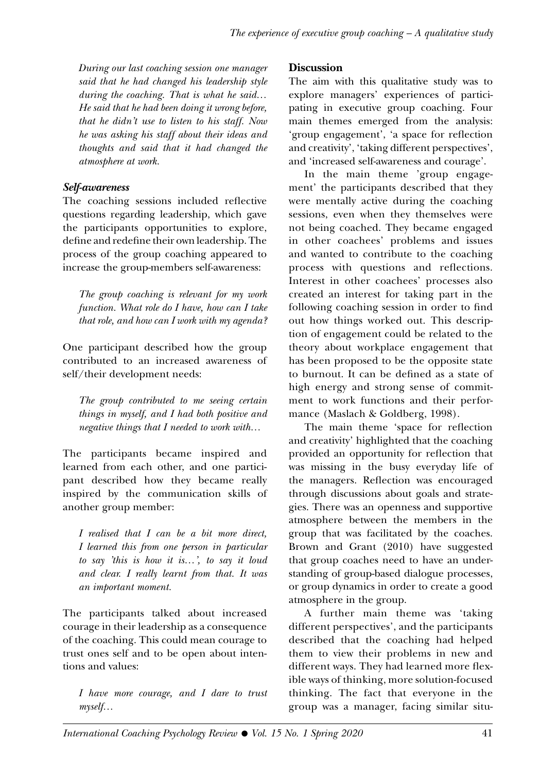*During our last coaching session one manager said that he had changed his leadership style during the coaching. That is what he said… He said that he had been doing it wrong before, that he didn't use to listen to his staff. Now he was asking his staff about their ideas and thoughts and said that it had changed the atmosphere at work.*

#### *Self-awareness*

The coaching sessions included reflective questions regarding leadership, which gave the participants opportunities to explore, define and redefine their own leadership. The process of the group coaching appeared to increase the group-members self-awareness:

*The group coaching is relevant for my work function. What role do I have, how can I take that role, and how can I work with my agenda?* 

One participant described how the group contributed to an increased awareness of self/their development needs:

*The group contributed to me seeing certain things in myself, and I had both positive and negative things that I needed to work with…*

The participants became inspired and learned from each other, and one participant described how they became really inspired by the communication skills of another group member:

*I realised that I can be a bit more direct, I learned this from one person in particular to say 'this is how it is…', to say it loud and clear. I really learnt from that. It was an important moment.*

The participants talked about increased courage in their leadership as a consequence of the coaching. This could mean courage to trust ones self and to be open about intentions and values:

*I have more courage, and I dare to trust myself…*

#### **Discussion**

The aim with this qualitative study was to explore managers' experiences of participating in executive group coaching. Four main themes emerged from the analysis: 'group engagement', 'a space for reflection and creativity', 'taking different perspectives', and 'increased self-awareness and courage'.

In the main theme 'group engagement' the participants described that they were mentally active during the coaching sessions, even when they themselves were not being coached. They became engaged in other coachees' problems and issues and wanted to contribute to the coaching process with questions and reflections. Interest in other coachees' processes also created an interest for taking part in the following coaching session in order to find out how things worked out. This description of engagement could be related to the theory about workplace engagement that has been proposed to be the opposite state to burnout. It can be defined as a state of high energy and strong sense of commitment to work functions and their performance (Maslach & Goldberg, 1998).

The main theme 'space for reflection and creativity' highlighted that the coaching provided an opportunity for reflection that was missing in the busy everyday life of the managers. Reflection was encouraged through discussions about goals and strategies. There was an openness and supportive atmosphere between the members in the group that was facilitated by the coaches. Brown and Grant (2010) have suggested that group coaches need to have an understanding of group-based dialogue processes, or group dynamics in order to create a good atmosphere in the group.

A further main theme was 'taking different perspectives', and the participants described that the coaching had helped them to view their problems in new and different ways. They had learned more flexible ways of thinking, more solution-focused thinking. The fact that everyone in the group was a manager, facing similar situ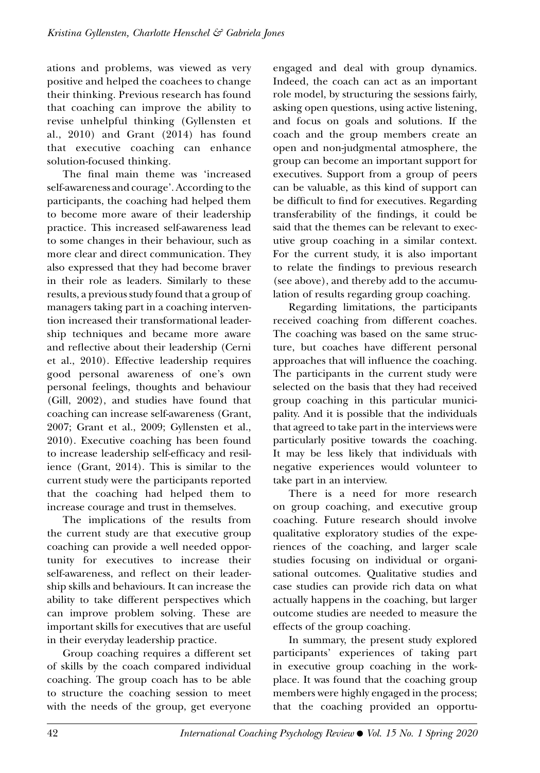ations and problems, was viewed as very positive and helped the coachees to change their thinking. Previous research has found that coaching can improve the ability to revise unhelpful thinking (Gyllensten et al., 2010) and Grant (2014) has found that executive coaching can enhance solution-focused thinking.

The final main theme was 'increased self-awareness and courage'. According to the participants, the coaching had helped them to become more aware of their leadership practice. This increased self-awareness lead to some changes in their behaviour, such as more clear and direct communication. They also expressed that they had become braver in their role as leaders. Similarly to these results, a previous study found that a group of managers taking part in a coaching intervention increased their transformational leadership techniques and became more aware and reflective about their leadership (Cerni et al., 2010). Effective leadership requires good personal awareness of one's own personal feelings, thoughts and behaviour (Gill, 2002), and studies have found that coaching can increase self-awareness (Grant, 2007; Grant et al., 2009; Gyllensten et al., 2010). Executive coaching has been found to increase leadership self-efficacy and resilience (Grant, 2014). This is similar to the current study were the participants reported that the coaching had helped them to increase courage and trust in themselves.

The implications of the results from the current study are that executive group coaching can provide a well needed opportunity for executives to increase their self-awareness, and reflect on their leadership skills and behaviours. It can increase the ability to take different perspectives which can improve problem solving. These are important skills for executives that are useful in their everyday leadership practice.

Group coaching requires a different set of skills by the coach compared individual coaching. The group coach has to be able to structure the coaching session to meet with the needs of the group, get everyone engaged and deal with group dynamics. Indeed, the coach can act as an important role model, by structuring the sessions fairly, asking open questions, using active listening, and focus on goals and solutions. If the coach and the group members create an open and non-judgmental atmosphere, the group can become an important support for executives. Support from a group of peers can be valuable, as this kind of support can be difficult to find for executives. Regarding transferability of the findings, it could be said that the themes can be relevant to executive group coaching in a similar context. For the current study, it is also important to relate the findings to previous research (see above), and thereby add to the accumulation of results regarding group coaching.

Regarding limitations, the participants received coaching from different coaches. The coaching was based on the same structure, but coaches have different personal approaches that will influence the coaching. The participants in the current study were selected on the basis that they had received group coaching in this particular municipality. And it is possible that the individuals that agreed to take part in the interviews were particularly positive towards the coaching. It may be less likely that individuals with negative experiences would volunteer to take part in an interview.

There is a need for more research on group coaching, and executive group coaching. Future research should involve qualitative exploratory studies of the experiences of the coaching, and larger scale studies focusing on individual or organisational outcomes. Qualitative studies and case studies can provide rich data on what actually happens in the coaching, but larger outcome studies are needed to measure the effects of the group coaching.

In summary, the present study explored participants' experiences of taking part in executive group coaching in the workplace. It was found that the coaching group members were highly engaged in the process; that the coaching provided an opportu